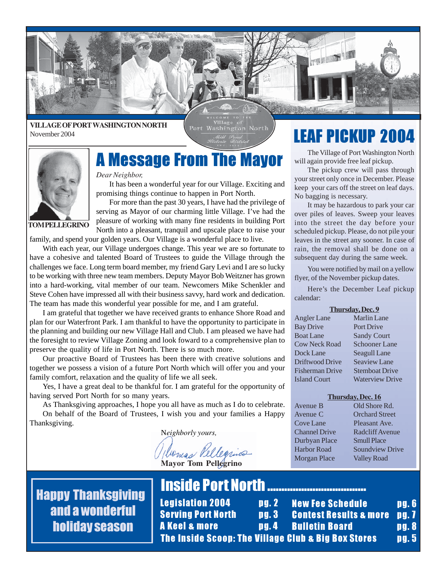

#### **VILLAGE OF PORT WASHINGTON NORTH** November 2004

Port Washington North



### *Dear Neighbor,*

Dear Neighbor,<br>It has been a wonderful year for our Village. Exciting and promising things continue to happen in Port North.

For more than the past 30 years, I have had the privilege of serving as Mayor of our charming little Village. I've had the pleasure of working with many fine residents in building Port North into a pleasant, tranquil and upscale place to raise your

family, and spend your golden years. Our Village is a wonderful place to live.

With each year, our Village undergoes change. This year we are so fortunate to have a cohesive and talented Board of Trustees to guide the Village through the challenges we face. Long term board member, my friend Gary Levi and I are so lucky to be working with three new team members. Deputy Mayor Bob Weitzner has grown into a hard-working, vital member of our team. Newcomers Mike Schenkler and Steve Cohen have impressed all with their business savvy, hard work and dedication. The team has made this wonderful year possible for me, and I am grateful.

I am grateful that together we have received grants to enhance Shore Road and plan for our Waterfront Park. I am thankful to have the opportunity to participate in the planning and building our new Village Hall and Club. I am pleased we have had the foresight to review Village Zoning and look foward to a comprehensive plan to preserve the quality of life in Port North. There is so much more.

Our proactive Board of Trustees has been there with creative solutions and together we possess a vision of a future Port North which will offer you and your family comfort, relaxation and the quality of life we all seek.

Yes, I have a great deal to be thankful for. I am grateful for the opportunity of having served Port North for so many years.

As Thanksgiving approaches, I hope you all have as much as I do to celebrate. On behalf of the Board of Trustees, I wish you and your families a Happy Thanksgiving.

N*eighborly yours,*

bongs Rellequies **Mayor Tom Pellegrino**

### **LEAF PICKUP 2004**

The Village of Port Washington North will again provide free leaf pickup.

The pickup crew will pass through your street only once in December. Please keep your cars off the street on leaf days. No bagging is necessary.

It may be hazardous to park your car over piles of leaves. Sweep your leaves into the street the day before your scheduled pickup. Please, do not pile your leaves in the street any sooner. In case of rain, the removal shall be done on a subsequent day during the same week.

You were notified by mail on a yellow flyer, of the November pickup dates.

Here's the December Leaf pickup calendar:

### **Thursday, Dec. 9**

| Angler Lane            | <b>Marlin Lane</b>     |
|------------------------|------------------------|
| <b>Bay Drive</b>       | Port Drive             |
| <b>Boat Lane</b>       | <b>Sandy Court</b>     |
| <b>Cow Neck Road</b>   | <b>Schooner Lane</b>   |
| Dock Lane              | Seagull Lane           |
| Driftwood Drive        | <b>Seaview Lane</b>    |
| <b>Fisherman Drive</b> | <b>Stemboat Drive</b>  |
| <b>Island Court</b>    | <b>Waterview Drive</b> |
|                        |                        |

#### **Thursday, Dec. 16**

Avenue B Old Shore Rd. Avenue C Orchard Street Cove Lane Pleasant Ave. Durbyan Place Smull Place Morgan Place Valley Road

Channel Drive Radcliff Avenue Harbor Road Soundview Drive

Happy Thanksgiving and a wonderful holiday season

### Inside Port North ...................................

Legislation 2004 pg. 2 Serving Port North pg. 3 A Keel & more **pg. 4** New Fee Schedule **pg. 6 Contest Results & more pg. 7** Bulletin Board **pg. 8** The Inside Scoop: The Village Club & Big Box Stores pg. 5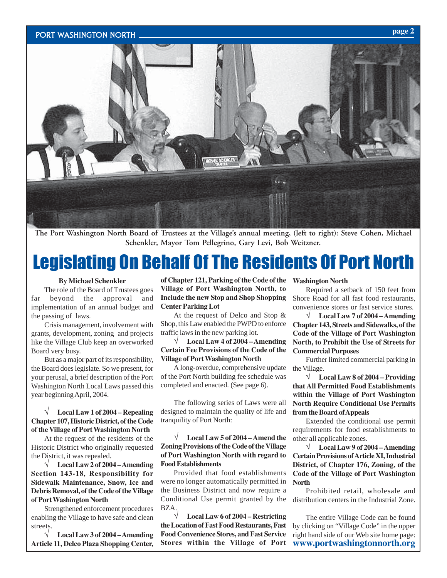#### Port Washington North



**The Port Washington North Board of Trustees at the Village's annual meeting, (left to right): Steve Cohen, Michael Schenkler, Mayor Tom Pellegrino, Gary Levi, Bob Weitzner.**

### Legislating On Behalf Of The Residents Of Port North

### **By Michael Schenkler**

The role of the Board of Trustees goes far beyond the approval and implementation of an annual budget and the passing of laws.

Crisis management, involvement with grants, development, zoning and projects like the Village Club keep an overworked Board very busy.

But as a major part of its responsibility, the Board does legislate. So we present, for your perusal, a brief description of the Port Washington North Local Laws passed this year beginning April, 2004.

#### √ **Local Law 1 of 2004 – Repealing Chapter 107, Historic District, of the Code of the Village of Port Washington North**

At the request of the residents of the Historic District who originally requested the District, it was repealed.

√ **Local Law 2 of 2004 – Amending Section 143-18, Responsibility for Sidewalk Maintenance, Snow, Ice and Debris Removal, of the Code of the Village of Port Washington North**

Strengthened enforcement procedures enabling the Village to have safe and clean streets.

√ **Local Law 3 of 2004 – Amending Article 11, Delco Plaza Shopping Center,**

**of Chapter 121, Parking of the Code of the Village of Port Washington North, to Include the new Stop and Shop Shopping Center Parking Lot**

At the request of Delco and Stop & Shop, this Law enabled the PWPD to enforce traffic laws in the new parking lot.

√ **Local Law 4 of 2004 – Amending Certain Fee Provisions of the Code of the Village of Port Washington North**

A long-overdue, comprehensive update of the Port North building fee schedule was completed and enacted. (See page 6).

The following series of Laws were all designed to maintain the quality of life and tranquility of Port North:

### √ **Local Law 5 of 2004 – Amend the Zoning Provisions of the Code of the Village of Port Washington North with regard to Food Establishments**

Provided that food establishments were no longer automatically permitted in the Business District and now require a Conditional Use permit granted by the BZA.

√ **Local Law 6 of 2004 – Restricting the Location of Fast Food Restaurants, Fast Food Convenience Stores, and Fast Service Stores within the Village of Port**

#### **Washington North**

Required a setback of 150 feet from Shore Road for all fast food restaurants, convenience stores or fast service stores.

√ **Local Law 7 of 2004 – Amending Chapter 143, Streets and Sidewalks, of the Code of the Village of Port Washington North, to Prohibit the Use of Streets for Commercial Purposes**

Further limited commercial parking in the Village.

√ **Local Law 8 of 2004 – Providing that All Permitted Food Establishments within the Village of Port Washington North Require Conditional Use Permits from the Board of Appeals**

Extended the conditional use permit requirements for food establishments to other all applicable zones.

√ **Local Law 9 of 2004 – Amending Certain Provisions of Article XI, Industrial District, of Chapter 176, Zoning, of the Code of the Village of Port Washington North**

Prohibited retail, wholesale and distribution centers in the Industrial Zone.

The entire Village Code can be found by clicking on "Village Code" in the upper right hand side of our Web site home page: **www.portwashingtonnorth.org**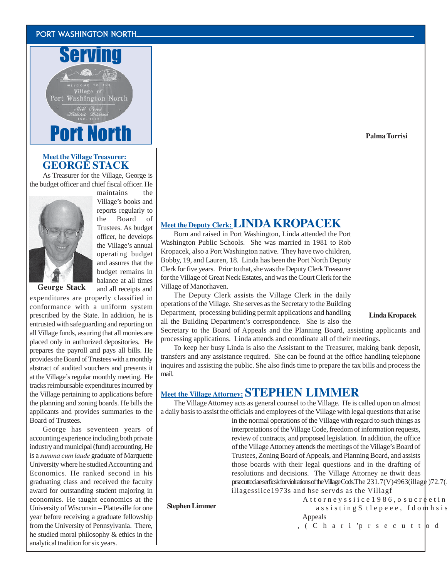### Port Washington North



### **Meet the VillageTreasurer: GEORGE STACK**

As Treasurer for the Village, George is the budget officer and chief fiscal officer. He



maintains the Village's books and reports regularly to the Board of Trustees. As budget officer, he develops the Village's annual operating budget and assures that the budget remains in balance at all times and all receipts and

**George Stack**

expenditures are properly classified in conformance with a uniform system prescribed by the State. In addition, he is entrusted with safeguarding and reporting on all Village funds, assuring that all monies are placed only in authorized depositories. He prepares the payroll and pays all bills. He provides the Board of Trustees with a monthly abstract of audited vouchers and presents it at the Village's regular monthly meeting. He tracks reimbursable expenditures incurred by the Village pertaining to applications before the planning and zoning boards. He bills the applicants and provides summaries to the Board of Trustees.

George has seventeen years of accounting experience including both private industry and municipal (fund) accounting. He is a *summa cum laude* graduate of Marquette University where he studied Accounting and Economics. He ranked second in his graduating class and received the faculty award for outstanding student majoring in economics. He taught economics at the University of Wisconsin – Platteville for one year before receiving a graduate fellowship from the University of Pennsylvania. There, he studied moral philosophy & ethics in the analytical tradition for six years.

### **Meet the Deputy Clerk: LINDA KROPACEK**

Born and raised in Port Washington, Linda attended the Port Washington Public Schools. She was married in 1981 to Rob Kropacek, also a Port Washington native. They have two children, Bobby, 19, and Lauren, 18. Linda has been the Port North Deputy Clerk for five years. Prior to that, she was the Deputy Clerk Treasurer for the Village of Great Neck Estates, and was the Court Clerk for the Village of Manorhaven.

The Deputy Clerk assists the Village Clerk in the daily operations of the Village. She serves as the Secretary to the Building Department, processing building permit applications and handling all the Building Department's correspondence. She is also the

**Linda Kropacek**

Secretary to the Board of Appeals and the Planning Board, assisting applicants and processing applications. Linda attends and coordinate all of their meetings.

To keep her busy Linda is also the Assistant to the Treasurer, making bank deposit, transfers and any assistance required. She can be found at the office handling telephone inquires and assisting the public. She also finds time to prepare the tax bills and process the mail.

### **Meet the Village Attorney: STEPHEN LIMMER**

The Village Attorney acts as general counsel to the Village. He is called upon on almost a daily basis to assist the officials and employees of the Village with legal questions that arise

in the normal operations of the Village with regard to such things as interpretations of the Village Code, freedom of information requests, review of contracts, and proposed legislation. In addition, the office of the Village Attorney attends the meetings of the Village's Board of Trustees, Zoning Board of Appeals, and Planning Board, and assists those boards with their legal questions and in the drafting of resolutions and decisions. The Village Attorney ae thwit deas prsecuttociae serficsk forviolrations of the Village Cods. The  $231.7(V)4963(i1lag \cdot 72.7($ illagessiice1973s and hse servds as the Villagf

**Stephen Limmer**

Attorneyssiice1986, osucreetinghsiseparnrer, Cual assistingStlepeee, fdomhsis offic,ysishsiseparanre Charitop her Prior Prior Prior Prior Prior Prior Prior Prior Prior Prior Prior Prior Prior Prior Prior Prior Prior Prior Prior Prior Prior Prior Prior Prior Prior Prior Pr Appeals and the Planning Board, and is structured by  $\mathbb{R}$ 

,(Chari'prsecuttod in theDritricte Cours.

**Palma Torrisi**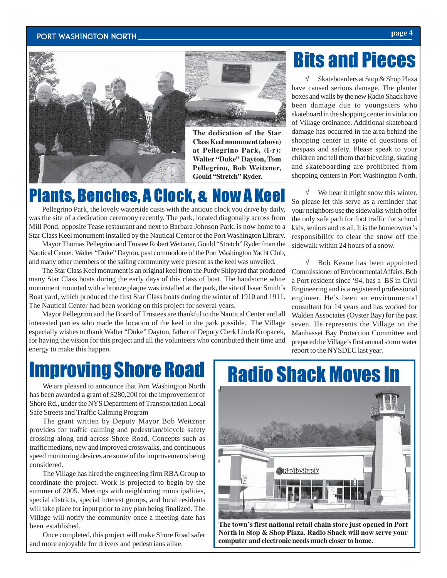### Port Washington North **page 4**





**The dedication of the Star Class Keel monument (above) at Pellegrino Park, (l-r): Walter "Duke" Dayton, Tom Pellegrino, Bob Weitzner, Gould "Stretch" Ryder.**

### Plants, Benches, A Clock, & Now A Keel

Pellegrino Park, the lovely waterside oasis with the antique clock you drive by daily, was the site of a dedication ceremony recently. The park, located diagonally across from Mill Pond, opposite Tease restaurant and next to Barbara Johnson Park, is now home to a Star Class Keel monument installed by the Nautical Center of the Port Washington Library.

Mayor Thomas Pellegrino and Trustee Robert Weitzner, Gould "Stretch" Ryder from the Nautical Center, Walter "Duke" Dayton, past commodore of the Port Washington Yacht Club, and many other members of the sailing community were present as the keel was unveiled.

The Star Class Keel monument is an original keel from the Purdy Shipyard that produced many Star Class boats during the early days of this class of boat. The handsome white monument mounted with a bronze plaque was installed at the park, the site of Isaac Smith's Boat yard, which produced the first Star Class boats during the winter of 1910 and 1911. The Nautical Center had been working on this project for several years.

Mayor Pellegrino and the Board of Trustees are thankful to the Nautical Center and all interested parties who made the location of the keel in the park possible. The Village especially wishes to thank Walter "Duke" Dayton, father of Deputy Clerk Linda Kropacek, for having the vision for this project and all the volunteers who contributed their time and energy to make this happen.

### Bits and Pieces

√ Skateboarders at Stop & Shop Plaza have caused serious damage. The planter boxes and walls by the new Radio Shack have been damage due to youngsters who skateboard in the shopping center in violation of Village ordinance. Additional skateboard damage has occurred in the area behind the shopping center in spite of questions of trespass and safety. Please speak to your children and tell them that bicycling, skating and skateboarding are prohibited from shopping centers in Port Washington North.

We hear it might snow this winter. So please let this serve as a reminder that your neighbors use the sidewalks which offer the only safe path for foot traffic for school kids, seniors and us all. It is the homeowner's responsibility to clear the snow off the sidewalk within 24 hours of a snow.

Bob Keane has been appointed Commissioner of Environmental Affairs. Bob a Port resident since '94, has a BS in Civil Engineering and is a registered professional engineer. He's been an environmental consultant for 14 years and has worked for Walden Associates (Oyster Bay) for the past seven. He represents the Village on the Manhasset Bay Protection Committee and prepared the Village's first annual storm water report to the NYSDEC last year.

### Improving Shore Road

We are pleased to announce that Port Washington North has been awarded a grant of \$280,200 for the improvement of Shore Rd., under the NYS Department of Transportation Local Safe Streets and Traffic Calming Program

The grant written by Deputy Mayor Bob Weitzner provides for traffic calming and pedestrian/bicycle safety crossing along and across Shore Road. Concepts such as traffic medians, new and improved crosswalks, and continuous speed monitoring devices are some of the improvements being considered.

The Village has hired the engineering firm RBA Group to coordinate the project. Work is projected to begin by the summer of 2005. Meetings with neighboring municipalities, special districts, special interest groups, and local residents will take place for input prior to any plan being finalized. The Village will notify the community once a meeting date has been established.

Once completed, this project will make Shore Road safer and more enjoyable for drivers and pedestrians alike.



**North in Stop & Shop Plaza. Radio Shack will now serve your computer and electronic needs much closer to home.**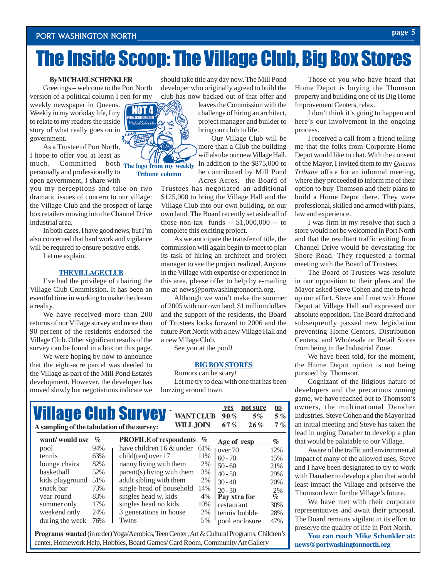### The Inside Scoop: The Village Club, Big Box Stores

#### **By MICHAEL SCHENKLER**

Greetings – welcome to the Port North version of a political column I pen for my

weekly newspaper in Queens. Weekly in my workday life, I try to relate to my readers the inside story of what really goes on in government.

much. Committed both The logo from my weekly As a Trustee of Port North, I hope to offer you at least as personally and professionally to open government, I share with

you my perceptions and take on two dramatic issues of concern to our village: the Village Club and the prospect of large box retailers moving into the Channel Drive industrial area.

In both cases, I have good news, but I'm also concerned that hard work and vigilance will be required to ensure positive ends.

Let me explain.

#### **THE VILLAGE CLUB**

I've had the privilege of chairing the Village Club Commission. It has been an eventful time in working to make the dream a reality.

We have received more than 200 returns of our Village survey and more than 90 percent of the residents endorsed the Village Club. Other significant results of the survey can be found in a box on this page.

We were hoping by now to announce that the eight-acre parcel was deeded to the Village as part of the Mill Pond Estates development. However, the developer has moved slowly but negotiations indicate we

should take title any day now. The Mill Pond developer who originally agreed to build the club has now backed out of that offer and

> leaves the Commission with the challenge of hiring an architect, project manager and builder to bring our club to life.

> Our Village Club will be more than a Club the building will also be our new Village Hall. In addition to the \$875,000 to be contributed by Mill Pond Acres Acres, the Board of

Trustees has negotiated an additional \$125,000 to bring the Village Hall and the Village Club into our own building, on our own land. The Board recently set aside all of those non-tax funds -- \$1,000,000 -- to complete this exciting project.

As we anticipate the transfer of title, the commission will again begin to meet to plan its task of hiring an architect and project manager to see the project realized. Anyone in the Village with expertise or experience in this area, please offer to help by e-mailing me at news@portwashingtonnorth.org.

Although we won't make the summer of 2005 with our own land, \$1 million dollars and the support of the residents, the Board of Trustees looks forward to 2006 and the future Port North with a new Village Hall and a new Village Club.

See you at the pool!

#### **BIG BOX STORES**

Rumors can be scary! Let me try to deal with one that has been buzzing around town.

| <b>Village Club Survey</b><br>A sampling of the tabulation of the survey: |          | <b>WANT CLUB</b><br><b>WILL JOIN</b>                      |             | not sure<br><b>ves</b><br>90%<br>$5\%$<br>26%<br>67% | $\mathbf{n}\mathbf{o}$<br>$5\%$<br>7% |
|---------------------------------------------------------------------------|----------|-----------------------------------------------------------|-------------|------------------------------------------------------|---------------------------------------|
| want/would use<br>pool                                                    | %<br>94% | <b>PROFILE</b> of respondents<br>have children 16 & under | $\%$<br>61% | Age of resp                                          | $\%$                                  |
| tennis                                                                    | 63%      | $child$ (ren) over 17                                     | 11%         | over 70<br>$60 - 70$                                 | 12%<br>15%                            |
| lounge chairs                                                             | 82%      | nanny living with them                                    | 2%          | $50 - 60$                                            | 21%                                   |
| basketball                                                                | 52%      | parent(s) living with them                                | 3%          | $40 - 50$                                            | 29%                                   |
| kids playground                                                           | 51%      | adult sibling with them                                   | 2%          | $30 - 40$                                            | 20%                                   |
| snack bar                                                                 | 73%      | single head of household                                  | 14%         | $20 - 30$                                            | 2%                                    |
| year round                                                                | 83%      | singles head w. kids                                      | $4\%$       | Pay xtra for                                         | %                                     |
| summer only                                                               | 17%      | singles head no kids                                      | 10%         | restaurant                                           | 30%                                   |
| weekend only                                                              | 24%      | 3 generations in house                                    | 2%          | tennis bubble                                        | 28%                                   |
| during the week                                                           | 76%      | Twins                                                     | 5%          | pool enclosure                                       | 47%                                   |

**Programs wanted** (in order) Yoga/Aerobics, Teen Center; Art & Cultural Programs, Children's center, Homework Help, Hobbies, Board Games/ Card Room, Community Art Gallery

Those of you who have heard that Home Depot is buying the Thomson property and building one of its Big Home Improvement Centers, relax.

I don't think it's going to happen and here's our involvement in the ongoing process.

I received a call from a friend telling me that the folks from Corporate Home Depot would like to chat. With the consent of the Mayor, I invited them to my *Queens Tribune* office for an informal meeting, where they proceeded to inform me of their option to buy Thomson and their plans to build a Home Depot there. They were professional, skilled and armed with plans, law and experience.

I was firm in my resolve that such a store would not be welcomed in Port North and that the resultant traffic exiting from Channel Drive would be devastating for Shore Road. They requested a formal meeting with the Board of Trustees.

The Board of Trustees was resolute in our opposition to their plans and the Mayor asked Steve Cohen and me to head up our effort. Steve and I met with Home Depot at Village Hall and expressed our absolute opposition. The Board drafted and subsequently passed new legislation preventing Home Centers, Distribution Centers, and Wholesale or Retail Stores from being in the Industrial Zone.

We have been told, for the moment, the Home Depot option is not being pursued by Thomson.

Cognizant of the litigious nature of developers and the precarious zoning game, we have reached out to Thomson's owners, the multinational Danaher Industries. Steve Cohen and the Mayor had an initial meeting and Steve has taken the lead in urging Danaher to develop a plan that would be palatable to our Village.

Aware of the traffic and environmental impact of many of the allowed uses, Steve and I have been designated to try to work with Danaher to develop a plan that would least impact the Village and preserve the Thomson lawn for the Village's future.

We have met with their corporate representatives and await their proposal. The Board remains vigilant in its effort to preserve the quality of life in Port North.

**You can reach Mike Schenkler at: news@portwashingtonnorth.org**

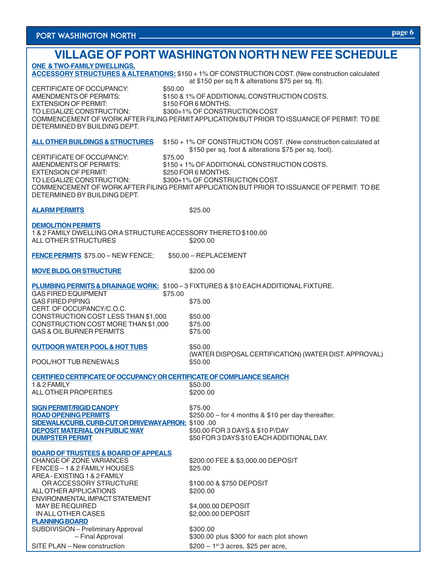### **VILLAGE OF PORT WASHINGTON NORTH NEW FEE SCHEDULE ONE & TWO-FAMILY DWELLINGS, ACCESSORY STRUCTURES & ALTERATIONS:** \$150 + 1% OF CONSTRUCTION COST. (New construction calculated at \$150 per sq.ft & alterations \$75 per sq. ft). CERTIFICATE OF OCCUPANCY: \$50.00<br>AMENDMENTS OF PERMITS: \$150 & \$150 & 1% OF ADDITIONAL CONSTRUCTION COSTS.<br>\$150 FOR 6 MONTHS. **EXTENSION OF PERMIT:** TO LEGALIZE CONSTRUCTION: \$300+1% OF CONSTRUCTION COST COMMENCEMENT OF WORK AFTER FILING PERMIT APPLICATION BUT PRIOR TO ISSUANCE OF PERMIT: TO BE DETERMINED BY BUILDING DEPT. **ALL OTHER BUILDINGS & STRUCTURES** \$150 + 1% OF CONSTRUCTION COST. (New construction calculated at \$150 per sq. foot & alterations \$75 per sq. foot). CERTIFICATE OF OCCUPANCY: \$75.00<br>AMENDMENTS OF PERMITS: \$150 + \$150 + 1% OF ADDITIONAL CONSTRUCTION COSTS.<br>\$250 FOR 6 MONTHS. EXTENSION OF PERMIT:<br>TO LEGALIZE CONSTRUCTION:  $$300+1%$  OF CONSTRUCTION COST. COMMENCEMENT OF WORK AFTER FILING PERMIT APPLICATION BUT PRIOR TO ISSUANCE OF PERMIT: TO BE DETERMINED BY BUILDING DEPT. **ALARM PERMITS** \$25.00 **DEMOLITION PERMITS** 1 & 2 FAMILY DWELLING OR A STRUCTURE ACCESSORY THERETO \$100.00 ALL OTHER STRUCTURES \$200.00 **FENCE PERMITS** \$75.00 – NEW FENCE; \$50.00 – REPLACEMENT **MOVE BLDG. OR STRUCTURE** \$200.00 **PLUMBING PERMITS & DRAINAGE WORK:** \$100 – 3 FIXTURES & \$10 EACH ADDITIONAL FIXTURE. **GAS FIRED EQUIPMENT** GAS FIRED PIPING \$75.00 CERT. OF OCCUPANCY/C.O.C. CONSTRUCTION COST LESS THAN \$1,000 \$50.00<br>CONSTRUCTION COST MORE THAN \$1.000 \$75.00 CONSTRUCTION COST MORE THAN \$1,000 \$75.00<br>GAS & OIL BURNER PERMITS \$75.00 GAS & OIL BURNER PERMITS **OUTDOOR WATER POOL & HOT TUBS** \$50.00 (WATER DISPOSAL CERTIFICATION) (WATER DIST. APPROVAL) POOL/HOT TUB RENEWALS \$50.00 **CERTIFIED CERTIFICATE OF OCCUPANCY OR CERTIFICATE OF COMPLIANCE SEARCH** 1 & 2 FAMILY \$50.00 ALL OTHER PROPERTIES **SIGN PERMIT/RIGID CANOPY \$75.00 ROAD OPENING PERMITS** \$250.00 – for 4 months & \$10 per day thereafter. **SIDEWALK/CURB, CURB-CUT OR DRIVEWAYAPRON:** \$100 .00 **DEPOSIT MATERIAL ON PUBLIC WAY** \$50.00 FOR 3 DAYS & \$10 P/DAY<br>DUMPSTER PERMIT \$50 FOR 3 DAYS \$10 EACH ADDI \$50 FOR 3 DAYS \$10 EACH ADDITIONAL DAY. **BOARD OF TRUSTEES & BOARD OF APPEALS** \$200.00 FEE & \$3,000.00 DEPOSIT FENCES – 1 & 2 FAMILY HOUSES \$25.00 AREA - EXISTING 1 & 2 FAMILY OR ACCESSORY STRUCTURE \$100.00 & \$750 DEPOSIT ALL OTHER APPLICATIONS \$200.00 ENVIRONMENTAL IMPACT STATEMENT MAY BE REQUIRED \$4,000.00 DEPOSIT IN ALL OTHER CASES \$2,000.00 DEPOSIT **PLANNING BOARD** SUBDIVISION – Preliminary Approval \$300.00 – Final Approval **\$300.00** plus \$300 for each plot shown

SITE PLAN – New construction  $$200 - 1<sup>st</sup>3$  acres, \$25 per acre,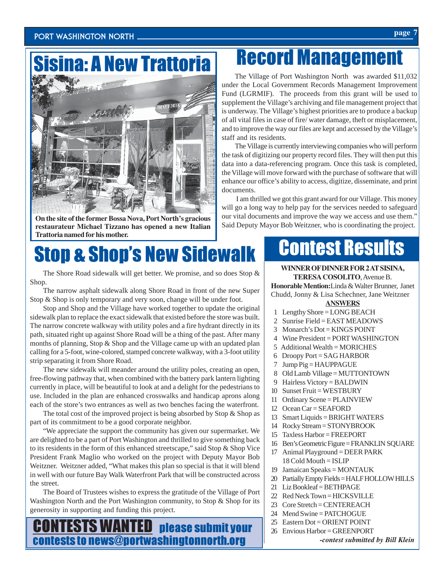### PORT WASHINGTON NORTH *page*  $\frac{1}{2}$

### Sisina: A New Trattoria



**On the site of the former Bossa Nova, Port North's gracious restaurateur Michael Tizzano has opened a new Italian Trattoria named for his mother.**

# Stop & Shop's New Sidewalk

The Shore Road sidewalk will get better. We promise, and so does Stop & Shop.

The narrow asphalt sidewalk along Shore Road in front of the new Super Stop & Shop is only temporary and very soon, change will be under foot.

Stop and Shop and the Village have worked together to update the original sidewalk plan to replace the exact sidewalk that existed before the store was built. The narrow concrete walkway with utility poles and a fire hydrant directly in its path, situated right up against Shore Road will be a thing of the past. After many months of planning, Stop & Shop and the Village came up with an updated plan calling for a 5-foot, wine-colored, stamped concrete walkway, with a 3-foot utility strip separating it from Shore Road.

The new sidewalk will meander around the utility poles, creating an open, free-flowing pathway that, when combined with the battery park lantern lighting currently in place, will be beautiful to look at and a delight for the pedestrians to use. Included in the plan are enhanced crosswalks and handicap aprons along each of the store's two entrances as well as two benches facing the waterfront.

The total cost of the improved project is being absorbed by Stop & Shop as part of its commitment to be a good corporate neighbor.

"We appreciate the support the community has given our supermarket. We are delighted to be a part of Port Washington and thrilled to give something back to its residents in the form of this enhanced streetscape," said Stop & Shop Vice President Frank Maglio who worked on the project with Deputy Mayor Bob Weitzner. Weitzner added, "What makes this plan so special is that it will blend in well with our future Bay Walk Waterfront Park that will be constructed across the street.

The Board of Trustees wishes to express the gratitude of the Village of Port Washington North and the Port Washington community, to Stop & Shop for its generosity in supporting and funding this project.

### **ESTS WANTED** please submit your contests to news@portwashingtonnorth.org

## Record Management

The Village of Port Washington North was awarded \$11,032 under the Local Government Records Management Improvement Fund (LGRMIF). The proceeds from this grant will be used to supplement the Village's archiving and file management project that is underway. The Village's highest priorities are to produce a backup of all vital files in case of fire/ water damage, theft or misplacement, and to improve the way our files are kept and accessed by the Village's staff and its residents.

The Village is currently interviewing companies who will perform the task of digitizing our property record files. They will then put this data into a data-referencing program. Once this task is completed, the Village will move forward with the purchase of software that will enhance our office's ability to access, digitize, disseminate, and print documents.

 I am thrilled we got this grant award for our Village. This money will go a long way to help pay for the services needed to safeguard our vital documents and improve the way we access and use them." Said Deputy Mayor Bob Weitzner, who is coordinating the project.

### Contest Results

#### **WINNER OF DINNER FOR 2 AT SISINA, TERESA COSOLITO**, Avenue B.

**Honorable Mention:**Linda & Walter Brunner, Janet Chudd, Jonny & Lisa Schechner, Jane Weitzner

#### **ANSWERS**

- 1 Lengthy Shore = LONG BEACH
- 2 Sunrise Field = EAST MEADOWS
- 3 Monarch's Dot = KINGS POINT
- 4 Wine President = PORT WASHINGTON
- 5 Additional Wealth = MORICHES
- 6 Droopy Port = SAG HARBOR
- 7 Jump Pig = HAUPPAGUE
- 8 Old Lamb Village = MUTTONTOWN
- 9 Hairless Victory = BALDWIN
- 10 Sunset Fruit = WESTBURY
- 11 Ordinary Scene = PLAINVIEW
- 12 Ocean Car = SEAFORD
- 13 Smart Liquids = BRIGHT WATERS
- 14 Rocky Stream = STONYBROOK
- 15 Taxless Harbor = FREEPORT
- 16 Ben's Geometric Figure = FRANKLIN SQUARE
- 17 Animal Playground = DEER PARK 18 Cold Mouth = ISLIP
- 19 Jamaican Speaks = MONTAUK
- 20 Partially Empty Fields = HALF HOLLOW HILLS
- 21 Liz Bookleaf = BETHPAGE
- 22 Red Neck Town = HICKSVILLE
- 23 Core Stretch = CENTEREACH
- 24 Mend Swine = PATCHOGUE
- 25 Eastern Dot = ORIENT POINT
- 26 Envious Harbor = GREENPORT
	- *-contest submitted by Bill Klein*